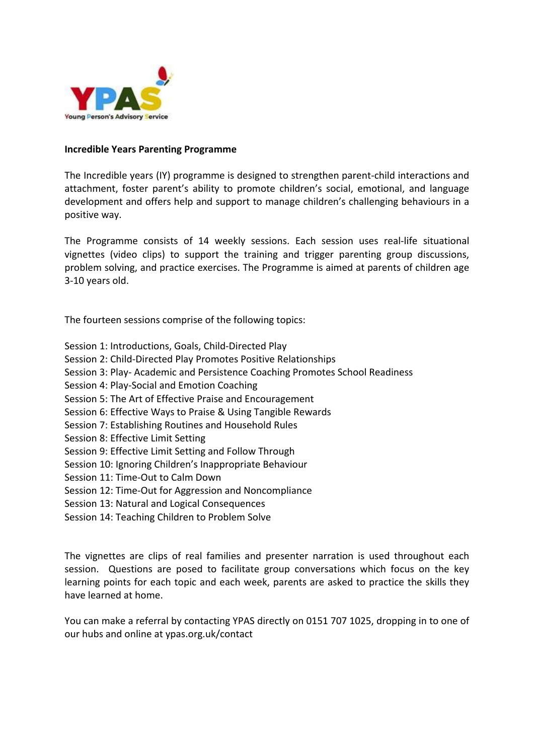

## **Incredible Years Parenting Programme**

The Incredible years (IY) programme is designed to strengthen parent-child interactions and attachment, foster parent's ability to promote children's social, emotional, and language development and offers help and support to manage children's challenging behaviours in a positive way.

The Programme consists of 14 weekly sessions. Each session uses real-life situational vignettes (video clips) to support the training and trigger parenting group discussions, problem solving, and practice exercises. The Programme is aimed at parents of children age 3-10 years old.

The fourteen sessions comprise of the following topics:

- Session 1: Introductions, Goals, Child-Directed Play
- Session 2: Child-Directed Play Promotes Positive Relationships
- Session 3: Play- Academic and Persistence Coaching Promotes School Readiness
- Session 4: Play-Social and Emotion Coaching
- Session 5: The Art of Effective Praise and Encouragement
- Session 6: Effective Ways to Praise & Using Tangible Rewards
- Session 7: Establishing Routines and Household Rules
- Session 8: Effective Limit Setting
- Session 9: Effective Limit Setting and Follow Through
- Session 10: Ignoring Children's Inappropriate Behaviour
- Session 11: Time-Out to Calm Down
- Session 12: Time-Out for Aggression and Noncompliance
- Session 13: Natural and Logical Consequences
- Session 14: Teaching Children to Problem Solve

The vignettes are clips of real families and presenter narration is used throughout each session. Questions are posed to facilitate group conversations which focus on the key learning points for each topic and each week, parents are asked to practice the skills they have learned at home.

You can make a referral by contacting YPAS directly on 0151 707 1025, dropping in to one of our hubs and online at ypas.org.uk/contact